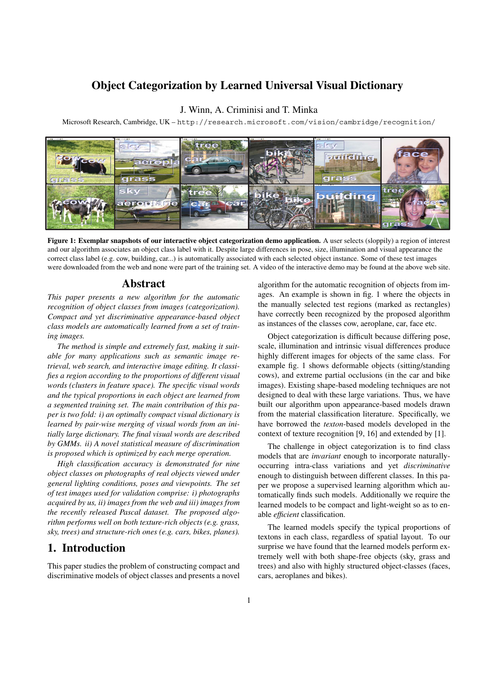# **Object Categorization by Learned Universal Visual Dictionary**

### J. Winn, A. Criminisi and T. Minka

Microsoft Research, Cambridge, UK – http://research.microsoft.com/vision/cambridge/recognition/



**Figure 1: Exemplar snapshots of our interactive object categorization demo application.** A user selects (sloppily) a region of interest and our algorithm associates an object class label with it. Despite large differences in pose, size, illumination and visual appearance the correct class label (e.g. cow, building, car...) is automatically associated with each selected object instance. Some of these test images were downloaded from the web and none were part of the training set. A video of the interactive demo may be found at the above web site.

### **Abstract**

*This paper presents a new algorithm for the automatic recognition of object classes from images (categorization). Compact and yet discriminative appearance-based object class models are automatically learned from a set of training images.*

*The method is simple and extremely fast, making it suitable for many applications such as semantic image retrieval, web search, and interactive image editing. It classifies a region according to the proportions of different visual words (clusters in feature space). The specific visual words and the typical proportions in each object are learned from a segmented training set. The main contribution of this paper is two fold: i) an optimally compact visual dictionary is learned by pair-wise merging of visual words from an initially large dictionary. The final visual words are described by GMMs. ii) A novel statistical measure of discrimination is proposed which is optimized by each merge operation.*

*High classification accuracy is demonstrated for nine object classes on photographs of real objects viewed under general lighting conditions, poses and viewpoints. The set of test images used for validation comprise: i) photographs acquired by us, ii) images from the web and iii) images from the recently released Pascal dataset. The proposed algorithm performs well on both texture-rich objects (e.g. grass, sky, trees) and structure-rich ones (e.g. cars, bikes, planes).*

# **1. Introduction**

This paper studies the problem of constructing compact and discriminative models of object classes and presents a novel

algorithm for the automatic recognition of objects from images. An example is shown in fig. 1 where the objects in the manually selected test regions (marked as rectangles) have correctly been recognized by the proposed algorithm as instances of the classes cow, aeroplane, car, face etc.

Object categorization is difficult because differing pose, scale, illumination and intrinsic visual differences produce highly different images for objects of the same class. For example fig. 1 shows deformable objects (sitting/standing cows), and extreme partial occlusions (in the car and bike images). Existing shape-based modeling techniques are not designed to deal with these large variations. Thus, we have built our algorithm upon appearance-based models drawn from the material classification literature. Specifically, we have borrowed the *texton*-based models developed in the context of texture recognition [9, 16] and extended by [1].

The challenge in object categorization is to find class models that are *invariant* enough to incorporate naturallyoccurring intra-class variations and yet *discriminative* enough to distinguish between different classes. In this paper we propose a supervised learning algorithm which automatically finds such models. Additionally we require the learned models to be compact and light-weight so as to enable *efficient* classification.

The learned models specify the typical proportions of textons in each class, regardless of spatial layout. To our surprise we have found that the learned models perform extremely well with both shape-free objects (sky, grass and trees) and also with highly structured object-classes (faces, cars, aeroplanes and bikes).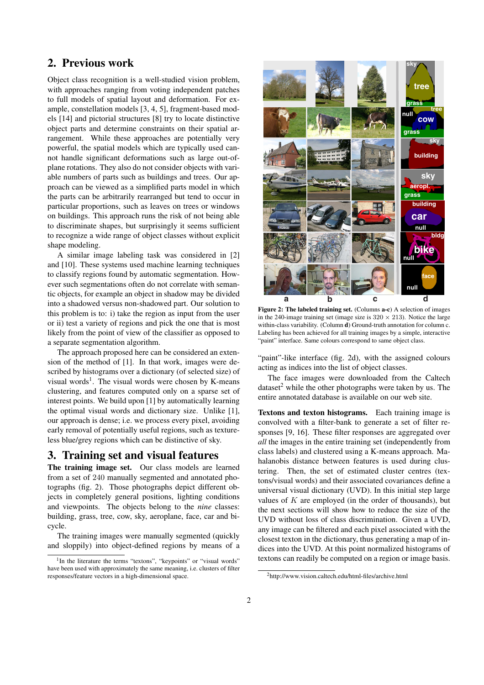# **2. Previous work**

Object class recognition is a well-studied vision problem, with approaches ranging from voting independent patches to full models of spatial layout and deformation. For example, constellation models [3, 4, 5], fragment-based models [14] and pictorial structures [8] try to locate distinctive object parts and determine constraints on their spatial arrangement. While these approaches are potentially very powerful, the spatial models which are typically used cannot handle significant deformations such as large out-ofplane rotations. They also do not consider objects with variable numbers of parts such as buildings and trees. Our approach can be viewed as a simplified parts model in which the parts can be arbitrarily rearranged but tend to occur in particular proportions, such as leaves on trees or windows on buildings. This approach runs the risk of not being able to discriminate shapes, but surprisingly it seems sufficient to recognize a wide range of object classes without explicit shape modeling.

A similar image labeling task was considered in [2] and [10]. These systems used machine learning techniques to classify regions found by automatic segmentation. However such segmentations often do not correlate with semantic objects, for example an object in shadow may be divided into a shadowed versus non-shadowed part. Our solution to this problem is to: i) take the region as input from the user or ii) test a variety of regions and pick the one that is most likely from the point of view of the classifier as opposed to a separate segmentation algorithm.

The approach proposed here can be considered an extension of the method of [1]. In that work, images were described by histograms over a dictionary (of selected size) of visual words<sup>1</sup>. The visual words were chosen by K-means clustering, and features computed only on a sparse set of interest points. We build upon [1] by automatically learning the optimal visual words and dictionary size. Unlike [1], our approach is dense; i.e. we process every pixel, avoiding early removal of potentially useful regions, such as textureless blue/grey regions which can be distinctive of sky.

### **3. Training set and visual features**

**The training image set.** Our class models are learned from a set of 240 manually segmented and annotated photographs (fig. 2). Those photographs depict different objects in completely general positions, lighting conditions and viewpoints. The objects belong to the *nine* classes: building, grass, tree, cow, sky, aeroplane, face, car and bicycle.

The training images were manually segmented (quickly and sloppily) into object-defined regions by means of a



**Figure 2: The labeled training set.** (Columns **a-c**) A selection of images in the 240-image training set (image size is  $320 \times 213$ ). Notice the large within-class variability. (Column **d**) Ground-truth annotation for column c. Labeling has been achieved for all training images by a simple, interactive "paint" interface. Same colours correspond to same object class.

"paint"-like interface (fig. 2d), with the assigned colours acting as indices into the list of object classes.

The face images were downloaded from the Caltech dataset<sup>2</sup> while the other photographs were taken by us. The entire annotated database is available on our web site.

**Textons and texton histograms.** Each training image is convolved with a filter-bank to generate a set of filter responses [9, 16]. These filter responses are aggregated over *all* the images in the entire training set (independently from class labels) and clustered using a K-means approach. Mahalanobis distance between features is used during clustering. Then, the set of estimated cluster centres (textons/visual words) and their associated covariances define a universal visual dictionary (UVD). In this initial step large values of  $K$  are employed (in the order of thousands), but the next sections will show how to reduce the size of the UVD without loss of class discrimination. Given a UVD, any image can be filtered and each pixel associated with the closest texton in the dictionary, thus generating a map of indices into the UVD. At this point normalized histograms of textons can readily be computed on a region or image basis.

<sup>&</sup>lt;sup>1</sup>In the literature the terms "textons", "keypoints" or "visual words" have been used with approximately the same meaning, i.e. clusters of filter responses/feature vectors in a high-dimensional space.

<sup>2</sup>http://www.vision.caltech.edu/html-files/archive.html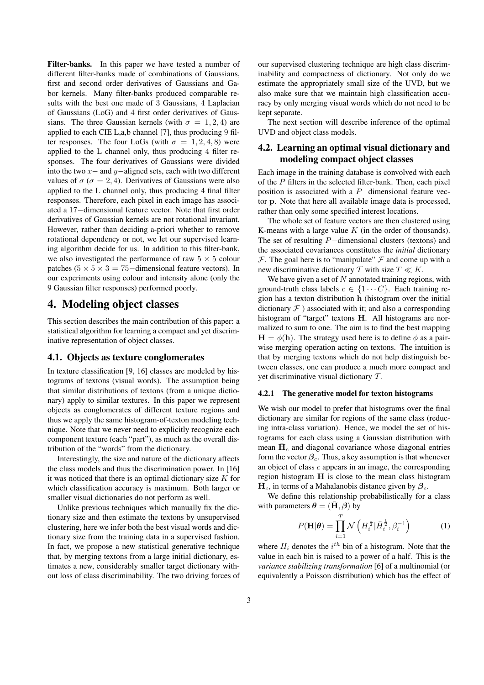**Filter-banks.** In this paper we have tested a number of different filter-banks made of combinations of Gaussians, first and second order derivatives of Gaussians and Gabor kernels. Many filter-banks produced comparable results with the best one made of 3 Gaussians, 4 Laplacian of Gaussians (LoG) and 4 first order derivatives of Gaussians. The three Gaussian kernels (with  $\sigma = 1, 2, 4$ ) are applied to each CIE L,a,b channel [7], thus producing 9 filter responses. The four LoGs (with  $\sigma = 1, 2, 4, 8$ ) were applied to the L channel only, thus producing 4 filter responses. The four derivatives of Gaussians were divided into the two x− and y−aligned sets, each with two different values of  $\sigma$  ( $\sigma = 2, 4$ ). Derivatives of Gaussians were also applied to the L channel only, thus producing 4 final filter responses. Therefore, each pixel in each image has associated a 17−dimensional feature vector. Note that first order derivatives of Gaussian kernels are not rotational invariant. However, rather than deciding a-priori whether to remove rotational dependency or not, we let our supervised learning algorithm decide for us. In addition to this filter-bank, we also investigated the performance of raw  $5 \times 5$  colour patches ( $5 \times 5 \times 3 = 75$  – dimensional feature vectors). In our experiments using colour and intensity alone (only the 9 Gaussian filter responses) performed poorly.

## **4. Modeling object classes**

This section describes the main contribution of this paper: a statistical algorithm for learning a compact and yet discriminative representation of object classes.

#### **4.1. Objects as texture conglomerates**

In texture classification [9, 16] classes are modeled by histograms of textons (visual words). The assumption being that similar distributions of textons (from a unique dictionary) apply to similar textures. In this paper we represent objects as conglomerates of different texture regions and thus we apply the same histogram-of-texton modeling technique. Note that we never need to explicitly recognize each component texture (each "part"), as much as the overall distribution of the "words" from the dictionary.

Interestingly, the size and nature of the dictionary affects the class models and thus the discrimination power. In [16] it was noticed that there is an optimal dictionary size  $K$  for which classification accuracy is maximum. Both larger or smaller visual dictionaries do not perform as well.

Unlike previous techniques which manually fix the dictionary size and then estimate the textons by unsupervised clustering, here we infer both the best visual words and dictionary size from the training data in a supervised fashion. In fact, we propose a new statistical generative technique that, by merging textons from a large initial dictionary, estimates a new, considerably smaller target dictionary without loss of class discriminability. The two driving forces of our supervised clustering technique are high class discriminability and compactness of dictionary. Not only do we estimate the appropriately small size of the UVD, but we also make sure that we maintain high classification accuracy by only merging visual words which do not need to be kept separate.

The next section will describe inference of the optimal UVD and object class models.

### **4.2. Learning an optimal visual dictionary and modeling compact object classes**

Each image in the training database is convolved with each of the  $P$  filters in the selected filter-bank. Then, each pixel position is associated with a P−dimensional feature vector **p**. Note that here all available image data is processed, rather than only some specified interest locations.

The whole set of feature vectors are then clustered using K-means with a large value  $K$  (in the order of thousands). The set of resulting P−dimensional clusters (textons) and the associated covariances constitutes the *initial* dictionary  $\mathcal F$ . The goal here is to "manipulate"  $\mathcal F$  and come up with a new discriminative dictionary T with size  $T \ll K$ .

We have given a set of  $N$  annotated training regions, with ground-truth class labels  $c \in \{1 \cdots C\}$ . Each training region has a texton distribution **h** (histogram over the initial dictionary  $\mathcal F$ ) associated with it; and also a corresponding histogram of "target" textons **H**. All histograms are normalized to sum to one. The aim is to find the best mapping  $H = \phi(h)$ . The strategy used here is to define  $\phi$  as a pairwise merging operation acting on textons. The intuition is that by merging textons which do not help distinguish between classes, one can produce a much more compact and yet discriminative visual dictionary  $T$ .

#### **4.2.1 The generative model for texton histograms**

We wish our model to prefer that histograms over the final dictionary are similar for regions of the same class (reducing intra-class variation). Hence, we model the set of histograms for each class using a Gaussian distribution with mean  $\bar{H}_c$  and diagonal covariance whose diagonal entries form the vector  $\beta_c$ . Thus, a key assumption is that whenever an object of class c appears in an image, the corresponding region histogram **H** is close to the mean class histogram  $\bar{H}_c$ , in terms of a Mahalanobis distance given by  $\beta_c$ .

We define this relationship probabilistically for a class with parameters  $\boldsymbol{\theta} = (\mathbf{H}, \boldsymbol{\beta})$  by

$$
P(\mathbf{H}|\boldsymbol{\theta}) = \prod_{i=1}^{T} \mathcal{N}\left(H_i^{\frac{1}{2}} | \bar{H}_i^{\frac{1}{2}}, \beta_i^{-1}\right) \tag{1}
$$

where  $H_i$  denotes the  $i^{th}$  bin of a histogram. Note that the value in each bin is raised to a power of a half. This is the *variance stabilizing transformation* [6] of a multinomial (or equivalently a Poisson distribution) which has the effect of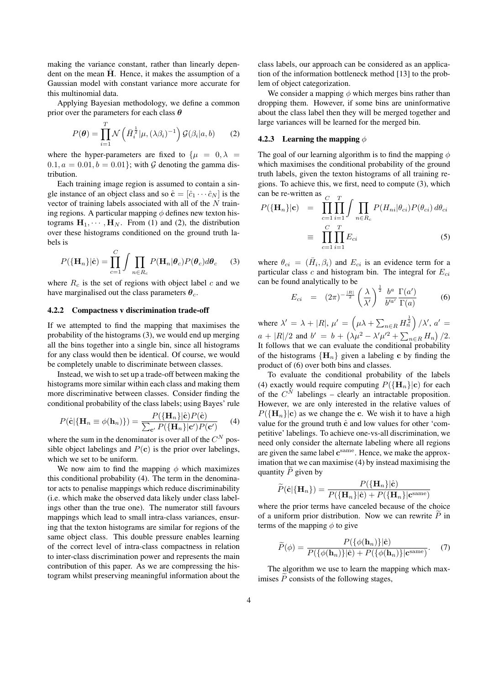making the variance constant, rather than linearly dependent on the mean  $\overline{H}$ . Hence, it makes the assumption of a Gaussian model with constant variance more accurate for this multinomial data.

Applying Bayesian methodology, we define a common prior over the parameters for each class *θ*

$$
P(\boldsymbol{\theta}) = \prod_{i=1}^{T} \mathcal{N}\left(\bar{H}_i^{\frac{1}{2}} | \mu, (\lambda \beta_i)^{-1}\right) \mathcal{G}(\beta_i | a, b) \qquad (2)
$$

where the hyper-parameters are fixed to  $\mu = 0, \lambda =$  $0.1, a = 0.01, b = 0.01$ ; with G denoting the gamma distribution.

Each training image region is assumed to contain a single instance of an object class and so  $\hat{\mathbf{c}} = [\hat{c}_1 \cdots \hat{c}_N]$  is the vector of training labels associated with all of the N training regions. A particular mapping  $\phi$  defines new texton histograms  $\mathbf{H}_1, \cdots, \mathbf{H}_N$ . From (1) and (2), the distribution over these histograms conditioned on the ground truth labels is

$$
P(\{\mathbf{H}_n\}|\hat{\mathbf{c}}) = \prod_{c=1}^C \int \prod_{n \in R_c} P(\mathbf{H}_n|\boldsymbol{\theta}_c) P(\boldsymbol{\theta}_c) d\boldsymbol{\theta}_c \qquad (3)
$$

where  $R_c$  is the set of regions with object label c and we have marginalised out the class parameters  $\theta_c$ .

#### **4.2.2 Compactness v discrimination trade-off**

If we attempted to find the mapping that maximises the probability of the histograms (3), we would end up merging all the bins together into a single bin, since all histograms for any class would then be identical. Of course, we would be completely unable to discriminate between classes.

Instead, we wish to set up a trade-off between making the histograms more similar within each class and making them more discriminative between classes. Consider finding the conditional probability of the class labels; using Bayes' rule

$$
P(\hat{\mathbf{c}}|\{\mathbf{H}_n \equiv \phi(\mathbf{h}_n)\}) = \frac{P(\{\mathbf{H}_n\}|\hat{\mathbf{c}})P(\hat{\mathbf{c}})}{\sum_{\mathbf{c}'} P(\{\mathbf{H}_n\}|\mathbf{c}')P(\mathbf{c}')} \tag{4}
$$

where the sum in the denominator is over all of the  $C^N$  possible object labelings and  $P(c)$  is the prior over labelings, which we set to be uniform.

We now aim to find the mapping  $\phi$  which maximizes this conditional probability (4). The term in the denominator acts to penalise mappings which reduce discriminability (i.e. which make the observed data likely under class labelings other than the true one). The numerator still favours mappings which lead to small intra-class variances, ensuring that the texton histograms are similar for regions of the same object class. This double pressure enables learning of the correct level of intra-class compactness in relation to inter-class discrimination power and represents the main contribution of this paper. As we are compressing the histogram whilst preserving meaningful information about the class labels, our approach can be considered as an application of the information bottleneck method [13] to the problem of object categorization.

We consider a mapping  $\phi$  which merges bins rather than dropping them. However, if some bins are uninformative about the class label then they will be merged together and large variances will be learned for the merged bin.

#### **4.2.3** Learning the mapping  $\phi$

The goal of our learning algorithm is to find the mapping  $\phi$ which maximises the conditional probability of the ground truth labels, given the texton histograms of all training regions. To achieve this, we first, need to compute (3), which can be re-written as  $C_{T}$ 

$$
P(\{\mathbf{H}_n\}|\mathbf{c}) = \prod_{c=1}^C \prod_{i=1}^T \int \prod_{n \in R_c} P(H_{ni}|\theta_{ci}) P(\theta_{ci}) d\theta_{ci}
$$

$$
\equiv \prod_{c=1}^C \prod_{i=1}^T E_{ci} \tag{5}
$$

where  $\theta_{ci} = (\bar{H}_i, \beta_i)$  and  $E_{ci}$  is an evidence term for a particular class c and histogram bin. The integral for  $E_{ci}$ can be found analytically to be

$$
E_{ci} = (2\pi)^{-\frac{|R|}{2}} \left(\frac{\lambda}{\lambda'}\right)^{\frac{1}{2}} \frac{b^a}{b'^{a'}} \frac{\Gamma(a')}{\Gamma(a)} \tag{6}
$$

where  $\lambda' = \lambda + |R|$ ,  $\mu' =$  $\left(\mu\lambda + \sum_{n\in R} H_n^{\frac{1}{2}}\right)/\lambda', a' =$  $a + |R|/2$  and  $b' = b + (\lambda \mu^2 - \lambda'\mu'^2 + \sum_{n \in R} H_n)/2$ .<br>It follows that we can evaluate the conditional probability It follows that we can evaluate the conditional probability of the histograms  ${H_n}$  given a labeling **c** by finding the product of (6) over both bins and classes.

To evaluate the conditional probability of the labels (4) exactly would require computing  $P({H_n}|c)$  for each of the  $C^N$  labelings – clearly an intractable proposition. However, we are only interested in the relative values of  $P({{\bf{H}}_n}|{\bf{c}})$  as we change the **c**. We wish it to have a high value for the ground truth  $\hat{c}$  and low values for other 'competitive' labelings. To achieve one-vs-all discrimination, we need only consider the alternate labeling where all regions are given the same label **c**same. Hence, we make the approximation that we can maximise (4) by instead maximising the quantity  $\widetilde{P}$  given by

$$
\widetilde{P}(\hat{\mathbf{c}}|\{\mathbf{H}_n\}) = \frac{P(\{\mathbf{H}_n\}|\hat{\mathbf{c}})}{P(\{\mathbf{H}_n\}|\hat{\mathbf{c}}) + P(\{\mathbf{H}_n\}|\mathbf{c}^{\text{same}})}
$$
\nwhere the prior terms have canceled because of the choice

of a uniform prior distribution. Now we can rewrite  $\tilde{P}$  in terms of the mapping  $\phi$  to give

$$
\widetilde{P}(\phi) = \frac{P(\{\phi(\mathbf{h}_n)\}|\hat{\mathbf{c}})}{P(\{\phi(\mathbf{h}_n)\}|\hat{\mathbf{c}}) + P(\{\phi(\mathbf{h}_n)\}|\mathbf{c}^{\text{same}})}.
$$
 (7)

The algorithm we use to learn the mapping which maximises  $\tilde{P}$  consists of the following stages,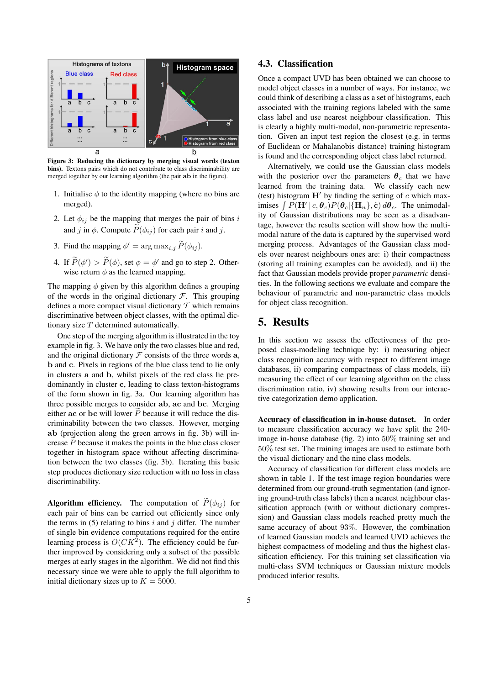

**Figure 3: Reducing the dictionary by merging visual words (texton bins).** Textons pairs which do not contribute to class discriminability are merged together by our learning algorithm (the pair **ab** in the figure).

- 1. Initialise  $\phi$  to the identity mapping (where no bins are merged).
- 2. Let  $\phi_{ij}$  be the mapping that merges the pair of bins i and j in  $\phi$ . Compute  $\widetilde{P}(\phi_{ij})$  for each pair i and j.
- 3. Find the mapping  $\phi' = \arg \max_{i,j} \widetilde{P}(\phi_{ij}).$
- 4. If  $\widetilde{P}(\phi') > \widetilde{P}(\phi)$ , set  $\phi = \phi'$  and go to step 2. Other-<br>wise return  $\phi$  as the learned manning wise return  $\phi$  as the learned mapping.

The mapping  $\phi$  given by this algorithm defines a grouping of the words in the original dictionary  $\mathcal F$ . This grouping defines a more compact visual dictionary  $T$  which remains discriminative between object classes, with the optimal dictionary size T determined automatically.

One step of the merging algorithm is illustrated in the toy example in fig. 3. We have only the two classes blue and red, and the original dictionary  $\mathcal F$  consists of the three words  $\mathbf a$ , **b** and **c**. Pixels in regions of the blue class tend to lie only in clusters **a** and **b**, whilst pixels of the red class lie predominantly in cluster **c**, leading to class texton-histograms of the form shown in fig. 3a. Our learning algorithm has three possible merges to consider **ab**, **ac** and **bc**. Merging either **ac** or **bc** will lower  $\widetilde{P}$  because it will reduce the discriminability between the two classes. However, merging **ab** (projection along the green arrows in fig. 3b) will increase  $\tilde{P}$  because it makes the points in the blue class closer together in histogram space without affecting discrimination between the two classes (fig. 3b). Iterating this basic step produces dictionary size reduction with no loss in class discriminability.

**Algorithm efficiency.** The computation of  $\widetilde{P}(\phi_{ij})$  for each pair of bins can be carried out efficiently since only the terms in  $(5)$  relating to bins i and i differ. The number of single bin evidence computations required for the entire learning process is  $O(CK^2)$ . The efficiency could be further improved by considering only a subset of the possible merges at early stages in the algorithm. We did not find this necessary since we were able to apply the full algorithm to initial dictionary sizes up to  $K = 5000$ .

### **4.3. Classification**

Once a compact UVD has been obtained we can choose to model object classes in a number of ways. For instance, we could think of describing a class as a set of histograms, each associated with the training regions labeled with the same class label and use nearest neighbour classification. This is clearly a highly multi-modal, non-parametric representation. Given an input test region the closest (e.g. in terms of Euclidean or Mahalanobis distance) training histogram is found and the corresponding object class label returned.

Alternatively, we could use the Gaussian class models with the posterior over the parameters  $\theta_c$  that we have learned from the training data. We classify each new (test) histogram  $H'$  by finding the setting of  $c$  which maximises  $\int P(\mathbf{H'} | c, \theta_c) P(\theta_c | \{\mathbf{H}_n\}, \hat{\mathbf{c}}) d\theta_c$ . The unimodality of Gaussian distributions may be seen as a disadvantage, however the results section will show how the multimodal nature of the data is captured by the supervised word merging process. Advantages of the Gaussian class models over nearest neighbours ones are: i) their compactness (storing all training examples can be avoided), and ii) the fact that Gaussian models provide proper *parametric* densities. In the following sections we evaluate and compare the behaviour of parametric and non-parametric class models for object class recognition.

# **5. Results**

In this section we assess the effectiveness of the proposed class-modeling technique by: i) measuring object class recognition accuracy with respect to different image databases, ii) comparing compactness of class models, iii) measuring the effect of our learning algorithm on the class discrimination ratio, iv) showing results from our interactive categorization demo application.

**Accuracy of classification in in-house dataset.** In order to measure classification accuracy we have split the 240 image in-house database (fig. 2) into 50% training set and 50% test set. The training images are used to estimate both the visual dictionary and the nine class models.

Accuracy of classification for different class models are shown in table 1. If the test image region boundaries were determined from our ground-truth segmentation (and ignoring ground-truth class labels) then a nearest neighbour classification approach (with or without dictionary compression) and Gaussian class models reached pretty much the same accuracy of about 93%. However, the combination of learned Gaussian models and learned UVD achieves the highest compactness of modeling and thus the highest classification efficiency. For this training set classification via multi-class SVM techniques or Gaussian mixture models produced inferior results.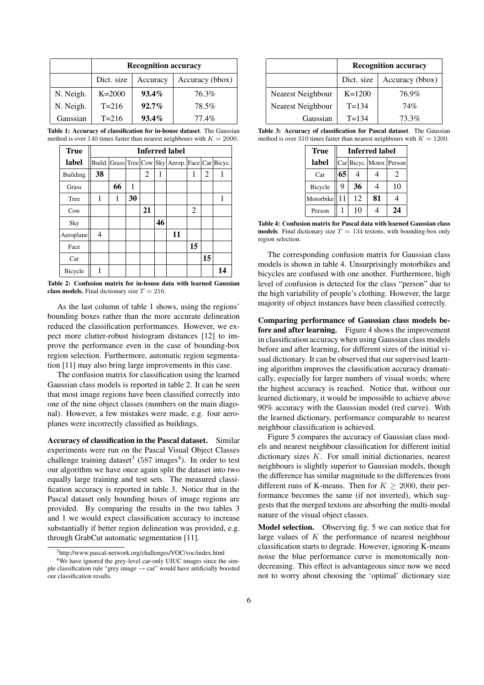|           | <b>Recognition accuracy</b> |          |                 |  |  |
|-----------|-----------------------------|----------|-----------------|--|--|
|           | Dict. size                  | Accuracy | Accuracy (bbox) |  |  |
| N. Neigh. | $K=2000$                    | $93.4\%$ | 76.3%           |  |  |
| N. Neigh. | $T = 216$                   | $92.7\%$ | 78.5%           |  |  |
| Gaussian  | $T = 216$                   | $93.4\%$ | $77.4\%$        |  |  |

**Table 1: Accuracy of classification for in-house dataset**. The Gaussian method is over 140 times faster than nearest neighbours with  $K = 2000$ .

| True            | <b>Inferred label</b> |    |    |    |    |                                                  |    |    |    |
|-----------------|-----------------------|----|----|----|----|--------------------------------------------------|----|----|----|
| label           |                       |    |    |    |    | Build. Grass Tree Cow Sky Aerop. Face Car Bicyc. |    |    |    |
| <b>Building</b> | 38                    |    |    | 2  | 1  |                                                  | 1  | 2  | 1  |
| Grass           |                       | 66 | 1  |    |    |                                                  |    |    |    |
| <b>Tree</b>     | 1                     | 1  | 30 |    |    |                                                  |    |    | 1  |
| Cow             |                       |    |    | 21 |    |                                                  | 2  |    |    |
| Sky             |                       |    |    |    | 46 |                                                  |    |    |    |
| Aeroplane       | 4                     |    |    |    |    | 11                                               |    |    |    |
| Face            |                       |    |    |    |    |                                                  | 15 |    |    |
| Car             |                       |    |    |    |    |                                                  |    | 15 |    |
| <b>Bicycle</b>  | 1                     |    |    |    |    |                                                  |    |    | 14 |

**Table 2: Confusion matrix for in-house data with learned Gaussian class models.** Final dictionary size  $T = 216$ .

As the last column of table 1 shows, using the regions' bounding boxes rather than the more accurate delineation reduced the classification performances. However, we expect more clutter-robust histogram distances [12] to improve the performance even in the case of bounding-box region selection. Furthermore, automatic region segmentation [11] may also bring large improvements in this case.

The confusion matrix for classification using the learned Gaussian class models is reported in table 2. It can be seen that most image regions have been classified correctly into one of the nine object classes (numbers on the main diagonal). However, a few mistakes were made, e.g. four aeroplanes were incorrectly classified as buildings.

**Accuracy of classification in the Pascal dataset.** Similar experiments were run on the Pascal Visual Object Classes challenge training dataset<sup>3</sup> (587 images<sup>4</sup>). In order to test our algorithm we have once again split the dataset into two equally large training and test sets. The measured classification accuracy is reported in table 3. Notice that in the Pascal dataset only bounding boxes of image regions are provided. By comparing the results in the two tables 3 and 1 we would expect classification accuracy to increase substantially if better region delineation was provided, e.g. through GrabCut automatic segmentation [11].

|                   | <b>Recognition accuracy</b> |                 |  |  |
|-------------------|-----------------------------|-----------------|--|--|
|                   | Dict. size                  | Accuracy (bbox) |  |  |
| Nearest Neighbour | $K = 1200$                  | 76.9%           |  |  |
| Nearest Neighbour | $T = 134$                   | 74%             |  |  |
| Gaussian          | $T = 134$                   | 73.3%           |  |  |

**Table 3: Accuracy of classification for Pascal dataset**. The Gaussian method is over 310 times faster than nearest neighbours with  $K = 1200$ .

| True      | <b>Inferred label</b> |    |                          |                             |  |
|-----------|-----------------------|----|--------------------------|-----------------------------|--|
| label     |                       |    | Car Bicyc. Motor. Person |                             |  |
| Car       | 65                    |    |                          | $\mathcal{D}_{\mathcal{L}}$ |  |
| Bicycle   | Q                     | 36 | 4                        | 10                          |  |
| Motorbike | 11                    | 12 | 81                       | 4                           |  |
| Person    |                       | 10 | 4                        | 24                          |  |

**Table 4: Confusion matrix for Pascal data with learned Gaussian class models**. Final dictionary size  $T = 134$  textons, with bounding-box only region selection.

The corresponding confusion matrix for Gaussian class models is shown in table 4. Unsurprisingly motorbikes and bicycles are confused with one another. Furthermore, high level of confusion is detected for the class "person" due to the high variability of people's clothing. However, the large majority of object instances have been classified correctly.

**Comparing performance of Gaussian class models before and after learning.** Figure 4 shows the improvement in classification accuracy when using Gaussian class models before and after learning, for different sizes of the initial visual dictionary. It can be observed that our supervised learning algorithm improves the classification accuracy dramatically, especially for larger numbers of visual words; where the highest accuracy is reached. Notice that, without our learned dictionary, it would be impossible to achieve above 90% accuracy with the Gaussian model (red curve). With the learned dictionary, performance comparable to nearest neighbour classification is achieved.

Figure 5 compares the accuracy of Gaussian class models and nearest neighbour classification for different initial dictionary sizes K. For small initial dictionaries, nearest neighbours is slightly superior to Gaussian models, though the difference has similar magnitude to the differences from different runs of K-means. Then for  $K > 2000$ , their performance becomes the same (if not inverted), which suggests that the merged textons are absorbing the multi-modal nature of the visual object classes.

**Model selection.** Observing fig. 5 we can notice that for large values of  $K$  the performance of nearest neighbour classification starts to degrade. However, ignoring K-means noise the blue performance curve is monotonically nondecreasing. This effect is advantageous since now we need not to worry about choosing the 'optimal' dictionary size

<sup>3</sup>http://www.pascal-network.org/challenges/VOC/voc/index.html

<sup>4</sup>We have ignored the grey-level car-only UIUC images since the simple classification rule "grey image  $\rightarrow$  car" would have artificially boosted our classification results.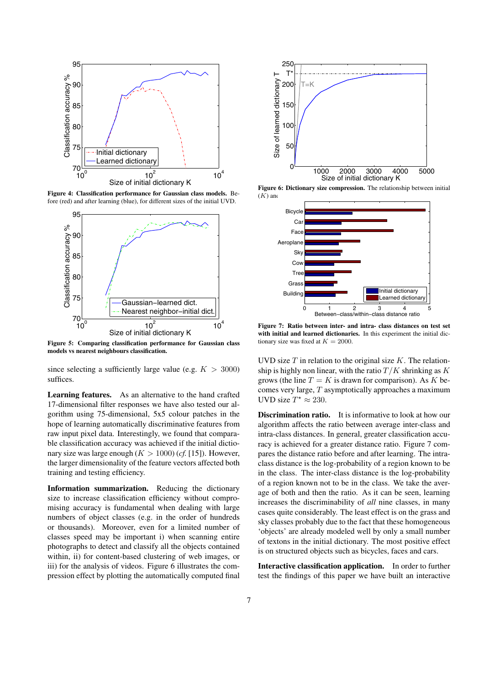

**Figure 4: Classification performance for Gaussian class models.** Before (red) and after learning (blue), for different sizes of the initial UVD.



**Figure 5: Comparing classification performance for Gaussian class models vs nearest neighbours classification.**

since selecting a sufficiently large value (e.g.  $K > 3000$ ) suffices.

**Learning features.** As an alternative to the hand crafted 17-dimensional filter responses we have also tested our algorithm using 75-dimensional, 5x5 colour patches in the hope of learning automatically discriminative features from raw input pixel data. Interestingly, we found that comparable classification accuracy was achieved if the initial dictionary size was large enough  $(K > 1000)$  (*cf.* [15]). However, the larger dimensionality of the feature vectors affected both training and testing efficiency.

**Information summarization.** Reducing the dictionary size to increase classification efficiency without compromising accuracy is fundamental when dealing with large numbers of object classes (e.g. in the order of hundreds or thousands). Moreover, even for a limited number of classes speed may be important i) when scanning entire photographs to detect and classify all the objects contained within, ii) for content-based clustering of web images, or iii) for the analysis of videos. Figure 6 illustrates the compression effect by plotting the automatically computed final



**Figure 6: Dictionary size compression.** The relationship between initial  $(K)$  and



**Figure 7: Ratio between inter- and intra- class distances on test set with initial and learned dictionaries.** In this experiment the initial dictionary size was fixed at  $K = 2000$ .

UVD size  $T$  in relation to the original size  $K$ . The relationship is highly non linear, with the ratio  $T/K$  shrinking as  $K$ grows (the line  $T = K$  is drawn for comparison). As K becomes very large, T asymptotically approaches a maximum UVD size  $T^* \approx 230$ .

**Discrimination ratio.** It is informative to look at how our algorithm affects the ratio between average inter-class and intra-class distances. In general, greater classification accuracy is achieved for a greater distance ratio. Figure 7 compares the distance ratio before and after learning. The intraclass distance is the log-probability of a region known to be in the class. The inter-class distance is the log-probability of a region known not to be in the class. We take the average of both and then the ratio. As it can be seen, learning increases the discriminability of *all* nine classes, in many cases quite considerably. The least effect is on the grass and sky classes probably due to the fact that these homogeneous 'objects' are already modeled well by only a small number of textons in the initial dictionary. The most positive effect is on structured objects such as bicycles, faces and cars.

**Interactive classification application.** In order to further test the findings of this paper we have built an interactive